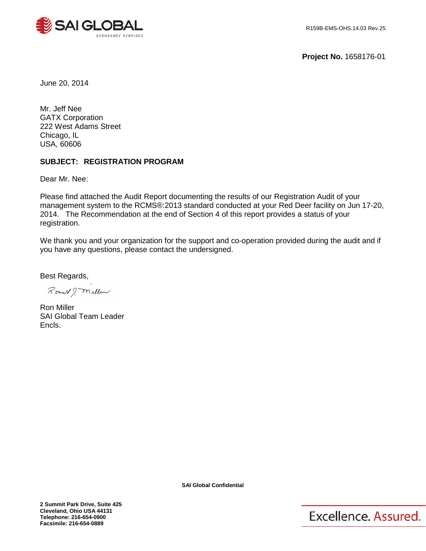

**Project No.** 1658176-01

June 20, 2014

Mr. Jeff Nee GATX Corporation 222 West Adams Street Chicago, IL USA, 60606

# **SUBJECT: REGISTRATION PROGRAM**

Dear Mr. Nee:

Please find attached the Audit Report documenting the results of our Registration Audit of your management system to the RCMS®:2013 standard conducted at your Red Deer facility on Jun 17-20, 2014. The Recommendation at the end of Section 4 of this report provides a status of your registration.

We thank you and your organization for the support and co-operation provided during the audit and if you have any questions, please contact the undersigned.

Best Regards,

Romald ? Miller

Ron Miller SAI Global Team Leader Encls.

**SAI Global Confidential**

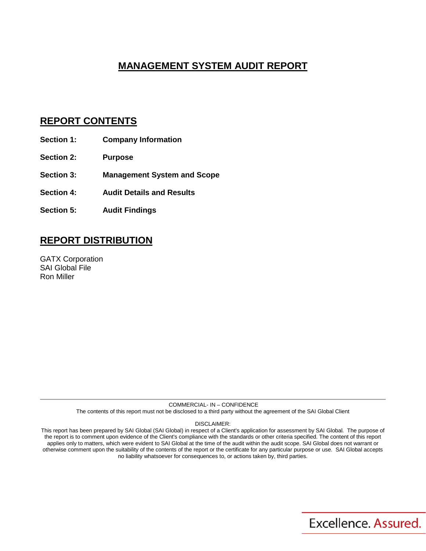# **MANAGEMENT SYSTEM AUDIT REPORT**

# **REPORT CONTENTS**

- **Section 1: Company Information**
- **Section 2: Purpose**
- **Section 3: Management System and Scope**
- **Section 4: Audit Details and Results**
- **Section 5: Audit Findings**

# **REPORT DISTRIBUTION**

GATX Corporation SAI Global File Ron Miller

> COMMERCIAL- IN – CONFIDENCE The contents of this report must not be disclosed to a third party without the agreement of the SAI Global Client

> > DISCLAIMER:

This report has been prepared by SAI Global (SAI Global) in respect of a Client's application for assessment by SAI Global. The purpose of the report is to comment upon evidence of the Client's compliance with the standards or other criteria specified. The content of this report applies only to matters, which were evident to SAI Global at the time of the audit within the audit scope. SAI Global does not warrant or otherwise comment upon the suitability of the contents of the report or the certificate for any particular purpose or use. SAI Global accepts no liability whatsoever for consequences to, or actions taken by, third parties.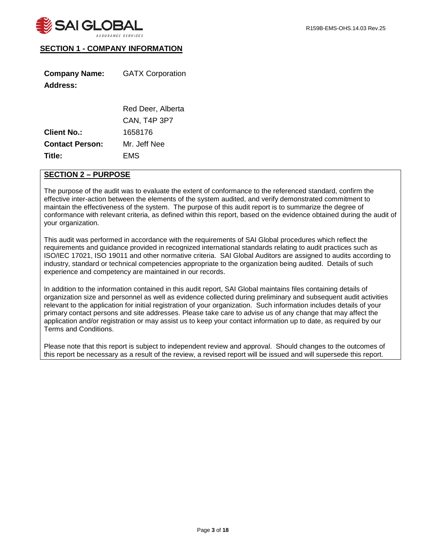# **SECTION 1 - COMPANY INFORMATION**

| <b>Company Name:</b> | <b>GATX Corporation</b> |
|----------------------|-------------------------|
| <b>Address:</b>      |                         |
|                      |                         |

|                        | Red Deer, Alberta   |
|------------------------|---------------------|
|                        | <b>CAN, T4P 3P7</b> |
| <b>Client No.:</b>     | 1658176             |
| <b>Contact Person:</b> | Mr. Jeff Nee        |
| Title:                 | EMS                 |

## **SECTION 2 – PURPOSE**

The purpose of the audit was to evaluate the extent of conformance to the referenced standard, confirm the effective inter-action between the elements of the system audited, and verify demonstrated commitment to maintain the effectiveness of the system. The purpose of this audit report is to summarize the degree of conformance with relevant criteria, as defined within this report, based on the evidence obtained during the audit of your organization.

This audit was performed in accordance with the requirements of SAI Global procedures which reflect the requirements and guidance provided in recognized international standards relating to audit practices such as ISO/IEC 17021, ISO 19011 and other normative criteria. SAI Global Auditors are assigned to audits according to industry, standard or technical competencies appropriate to the organization being audited. Details of such experience and competency are maintained in our records.

In addition to the information contained in this audit report, SAI Global maintains files containing details of organization size and personnel as well as evidence collected during preliminary and subsequent audit activities relevant to the application for initial registration of your organization. Such information includes details of your primary contact persons and site addresses. Please take care to advise us of any change that may affect the application and/or registration or may assist us to keep your contact information up to date, as required by our Terms and Conditions.

Please note that this report is subject to independent review and approval. Should changes to the outcomes of this report be necessary as a result of the review, a revised report will be issued and will supersede this report.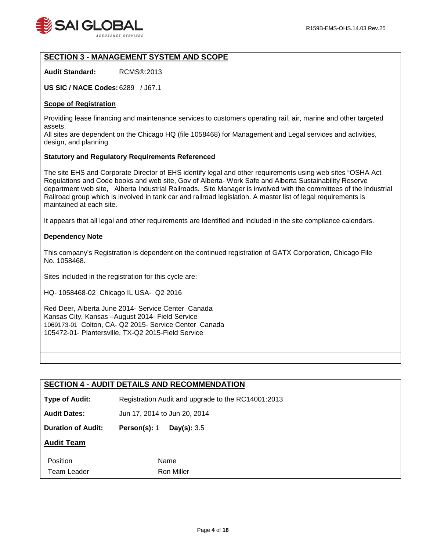

# **SECTION 3 - MANAGEMENT SYSTEM AND SCOPE**

**Audit Standard:** RCMS®:2013

**US SIC / NACE Codes:** 6289 / J67.1

#### **Scope of Registration**

Providing lease financing and maintenance services to customers operating rail, air, marine and other targeted assets.

All sites are dependent on the Chicago HQ (file 1058468) for Management and Legal services and activities, design, and planning.

## **Statutory and Regulatory Requirements Referenced**

The site EHS and Corporate Director of EHS identify legal and other requirements using web sites "OSHA Act Regulations and Code books and web site, Gov of Alberta- Work Safe and Alberta Sustainability Reserve department web site, Alberta Industrial Railroads. Site Manager is involved with the committees of the Industrial Railroad group which is involved in tank car and railroad legislation. A master list of legal requirements is maintained at each site.

It appears that all legal and other requirements are Identified and included in the site compliance calendars.

#### **Dependency Note**

This company's Registration is dependent on the continued registration of GATX Corporation, Chicago File No. 1058468.

Sites included in the registration for this cycle are:

HQ- 1058468-02 Chicago IL USA- Q2 2016

Red Deer, Alberta June 2014- Service Center Canada Kansas City, Kansas –August 2014- Field Service 1069173-01 Colton, CA- Q2 2015- Service Center Canada 105472-01- Plantersville, TX-Q2 2015-Field Service

## **SECTION 4 - AUDIT DETAILS AND RECOMMENDATION**

**Type of Audit:** Registration Audit and upgrade to the RC14001:2013

**Audit Dates:** Jun 17, 2014 to Jun 20, 2014

**Duration of Audit: Person(s):** 1 **Day(s):** 3.5

## **Audit Team**

| ____                                 | .<br>11 U     |
|--------------------------------------|---------------|
| $T_{\text{atom}}$<br>ו בזר<br>.<br>. | Miller<br>R∩n |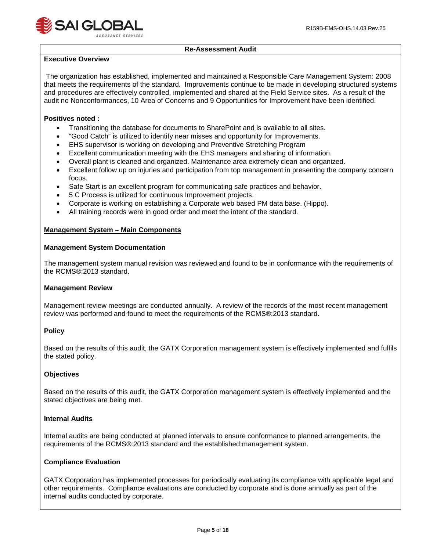

## **Re-Assessment Audit**

## **Executive Overview**

The organization has established, implemented and maintained a Responsible Care Management System: 2008 that meets the requirements of the standard. Improvements continue to be made in developing structured systems and procedures are effectively controlled, implemented and shared at the Field Service sites. As a result of the audit no Nonconformances, 10 Area of Concerns and 9 Opportunities for Improvement have been identified.

## **Positives noted :**

- Transitioning the database for documents to SharePoint and is available to all sites.
- "Good Catch" is utilized to identify near misses and opportunity for Improvements.
- EHS supervisor is working on developing and Preventive Stretching Program
- Excellent communication meeting with the EHS managers and sharing of information.
- Overall plant is cleaned and organized. Maintenance area extremely clean and organized.
- Excellent follow up on injuries and participation from top management in presenting the company concern focus.
- Safe Start is an excellent program for communicating safe practices and behavior.
- 5 C Process is utilized for continuous Improvement projects.
- Corporate is working on establishing a Corporate web based PM data base. (Hippo).
- All training records were in good order and meet the intent of the standard.

## **Management System – Main Components**

## **Management System Documentation**

The management system manual revision was reviewed and found to be in conformance with the requirements of the RCMS®:2013 standard.

## **Management Review**

Management review meetings are conducted annually. A review of the records of the most recent management review was performed and found to meet the requirements of the RCMS®:2013 standard.

## **Policy**

Based on the results of this audit, the GATX Corporation management system is effectively implemented and fulfils the stated policy.

## **Objectives**

Based on the results of this audit, the GATX Corporation management system is effectively implemented and the stated objectives are being met.

## **Internal Audits**

Internal audits are being conducted at planned intervals to ensure conformance to planned arrangements, the requirements of the RCMS®:2013 standard and the established management system.

## **Compliance Evaluation**

GATX Corporation has implemented processes for periodically evaluating its compliance with applicable legal and other requirements. Compliance evaluations are conducted by corporate and is done annually as part of the internal audits conducted by corporate.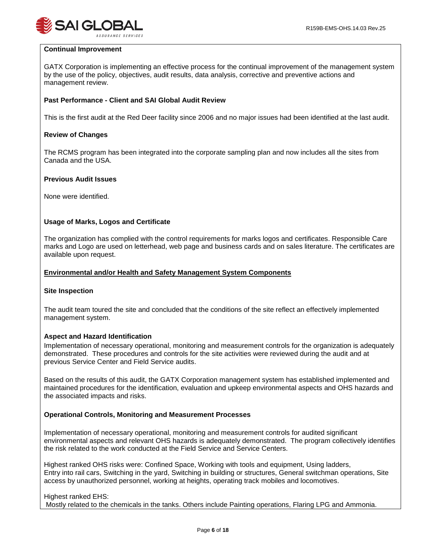

#### **Continual Improvement**

GATX Corporation is implementing an effective process for the continual improvement of the management system by the use of the policy, objectives, audit results, data analysis, corrective and preventive actions and management review.

## **Past Performance - Client and SAI Global Audit Review**

This is the first audit at the Red Deer facility since 2006 and no major issues had been identified at the last audit.

#### **Review of Changes**

The RCMS program has been integrated into the corporate sampling plan and now includes all the sites from Canada and the USA.

#### **Previous Audit Issues**

None were identified.

## **Usage of Marks, Logos and Certificate**

The organization has complied with the control requirements for marks logos and certificates. Responsible Care marks and Logo are used on letterhead, web page and business cards and on sales literature. The certificates are available upon request.

#### **Environmental and/or Health and Safety Management System Components**

## **Site Inspection**

The audit team toured the site and concluded that the conditions of the site reflect an effectively implemented management system.

## **Aspect and Hazard Identification**

Implementation of necessary operational, monitoring and measurement controls for the organization is adequately demonstrated. These procedures and controls for the site activities were reviewed during the audit and at previous Service Center and Field Service audits.

Based on the results of this audit, the GATX Corporation management system has established implemented and maintained procedures for the identification, evaluation and upkeep environmental aspects and OHS hazards and the associated impacts and risks.

#### **Operational Controls, Monitoring and Measurement Processes**

Implementation of necessary operational, monitoring and measurement controls for audited significant environmental aspects and relevant OHS hazards is adequately demonstrated. The program collectively identifies the risk related to the work conducted at the Field Service and Service Centers.

Highest ranked OHS risks were: Confined Space, Working with tools and equipment, Using ladders, Entry into rail cars, Switching in the yard, Switching in building or structures, General switchman operations, Site access by unauthorized personnel, working at heights, operating track mobiles and locomotives.

Highest ranked EHS: Mostly related to the chemicals in the tanks. Others include Painting operations, Flaring LPG and Ammonia.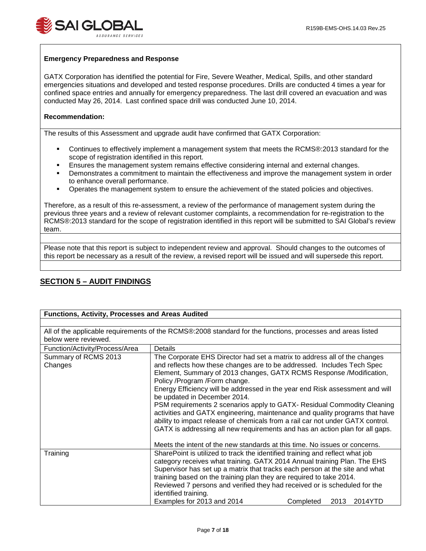

#### **Emergency Preparedness and Response**

GATX Corporation has identified the potential for Fire, Severe Weather, Medical, Spills, and other standard emergencies situations and developed and tested response procedures. Drills are conducted 4 times a year for confined space entries and annually for emergency preparedness. The last drill covered an evacuation and was conducted May 26, 2014. Last confined space drill was conducted June 10, 2014.

#### **Recommendation:**

The results of this Assessment and upgrade audit have confirmed that GATX Corporation:

- Continues to effectively implement a management system that meets the RCMS®:2013 standard for the scope of registration identified in this report.
- Ensures the management system remains effective considering internal and external changes.
- Demonstrates a commitment to maintain the effectiveness and improve the management system in order to enhance overall performance.
- Operates the management system to ensure the achievement of the stated policies and objectives.

Therefore, as a result of this re-assessment, a review of the performance of management system during the previous three years and a review of relevant customer complaints, a recommendation for re-registration to the RCMS®:2013 standard for the scope of registration identified in this report will be submitted to SAI Global's review team.

Please note that this report is subject to independent review and approval. Should changes to the outcomes of this report be necessary as a result of the review, a revised report will be issued and will supersede this report.

## **SECTION 5 – AUDIT FINDINGS**

| <b>Functions, Activity, Processes and Areas Audited</b> |                                                                                                                                                                                                                                                                                                                                                                                                                                                                                                                                                                                                                                                                                                         |                           |
|---------------------------------------------------------|---------------------------------------------------------------------------------------------------------------------------------------------------------------------------------------------------------------------------------------------------------------------------------------------------------------------------------------------------------------------------------------------------------------------------------------------------------------------------------------------------------------------------------------------------------------------------------------------------------------------------------------------------------------------------------------------------------|---------------------------|
|                                                         |                                                                                                                                                                                                                                                                                                                                                                                                                                                                                                                                                                                                                                                                                                         |                           |
|                                                         | All of the applicable requirements of the RCMS®:2008 standard for the functions, processes and areas listed                                                                                                                                                                                                                                                                                                                                                                                                                                                                                                                                                                                             |                           |
| below were reviewed.                                    |                                                                                                                                                                                                                                                                                                                                                                                                                                                                                                                                                                                                                                                                                                         |                           |
| Function/Activity/Process/Area                          | Details                                                                                                                                                                                                                                                                                                                                                                                                                                                                                                                                                                                                                                                                                                 |                           |
| Summary of RCMS 2013<br>Changes                         | The Corporate EHS Director had set a matrix to address all of the changes<br>and reflects how these changes are to be addressed. Includes Tech Spec<br>Element, Summary of 2013 changes, GATX RCMS Response /Modification,<br>Policy /Program /Form change.<br>Energy Efficiency will be addressed in the year end Risk assessment and will<br>be updated in December 2014.<br>PSM requirements 2 scenarios apply to GATX- Residual Commodity Cleaning<br>activities and GATX engineering, maintenance and quality programs that have<br>ability to impact release of chemicals from a rail car not under GATX control.<br>GATX is addressing all new requirements and has an action plan for all gaps. |                           |
|                                                         | Meets the intent of the new standards at this time. No issues or concerns.                                                                                                                                                                                                                                                                                                                                                                                                                                                                                                                                                                                                                              |                           |
| Training                                                | SharePoint is utilized to track the identified training and reflect what job<br>category receives what training. GATX 2014 Annual training Plan. The EHS<br>Supervisor has set up a matrix that tracks each person at the site and what<br>training based on the training plan they are required to take 2014.<br>Reviewed 7 persons and verified they had received or is scheduled for the<br>identified training.                                                                                                                                                                                                                                                                                     |                           |
|                                                         | Examples for 2013 and 2014                                                                                                                                                                                                                                                                                                                                                                                                                                                                                                                                                                                                                                                                              | 2013 2014YTD<br>Completed |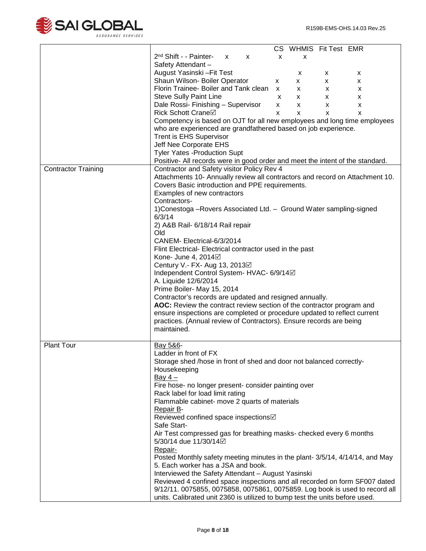

|                            | CS WHMIS Fit Test EMR                                                         |
|----------------------------|-------------------------------------------------------------------------------|
|                            | 2 <sup>nd</sup> Shift - - Painter-<br>$\mathsf{x}$<br>X<br>X<br>X             |
|                            | Safety Attendant-                                                             |
|                            | August Yasinski - Fit Test<br>X<br>X.<br>x                                    |
|                            | Shaun Wilson- Boiler Operator<br>X<br>X.<br><b>X</b><br>X                     |
|                            | Florin Trainee- Boiler and Tank clean x                                       |
|                            | X<br>X<br>X.                                                                  |
|                            | <b>Steve Sully Paint Line</b><br>$\mathsf{x}$<br>X<br>X.<br>X                 |
|                            | Dale Rossi- Finishing - Supervisor<br>$\mathsf{x}$<br>X<br>X<br>X             |
|                            | <b>Rick Schott Crane</b> ⊠<br>$\mathsf{x}$<br>X<br>X<br>X                     |
|                            | Competency is based on OJT for all new employees and long time employees      |
|                            | who are experienced are grandfathered based on job experience.                |
|                            | Trent is EHS Supervisor                                                       |
|                            | Jeff Nee Corporate EHS                                                        |
|                            | <b>Tyler Yates - Production Supt</b>                                          |
|                            | Positive- All records were in good order and meet the intent of the standard. |
| <b>Contractor Training</b> | Contractor and Safety visitor Policy Rev 4                                    |
|                            | Attachments 10- Annually review all contractors and record on Attachment 10.  |
|                            | Covers Basic introduction and PPE requirements.                               |
|                            |                                                                               |
|                            | Examples of new contractors                                                   |
|                            | Contractors-                                                                  |
|                            | 1) Conestoga - Rovers Associated Ltd. - Ground Water sampling-signed          |
|                            | 6/3/14                                                                        |
|                            | 2) A&B Rail- 6/18/14 Rail repair                                              |
|                            | Old                                                                           |
|                            | CANEM-Electrical-6/3/2014                                                     |
|                            | Flint Electrical-Electrical contractor used in the past                       |
|                            | Kone- June 4, 2014⊡                                                           |
|                            | Century V.- FX- Aug 13, 2013⊠                                                 |
|                            | Independent Control System- HVAC- 6/9/14⊠                                     |
|                            | A. Liquide 12/6/2014                                                          |
|                            | Prime Boiler- May 15, 2014                                                    |
|                            |                                                                               |
|                            | Contractor's records are updated and resigned annually.                       |
|                            | AOC: Review the contract review section of the contractor program and         |
|                            | ensure inspections are completed or procedure updated to reflect current      |
|                            | practices. (Annual review of Contractors). Ensure records are being           |
|                            | maintained.                                                                   |
|                            |                                                                               |
| <b>Plant Tour</b>          | Bay 5&6-                                                                      |
|                            | Ladder in front of FX                                                         |
|                            | Storage shed /hose in front of shed and door not balanced correctly-          |
|                            | Housekeeping                                                                  |
|                            | Bay $4-$                                                                      |
|                            | Fire hose- no longer present- consider painting over                          |
|                            | Rack label for load limit rating                                              |
|                            | Flammable cabinet- move 2 quarts of materials                                 |
|                            | Repair B-                                                                     |
|                            | Reviewed confined space inspections⊠                                          |
|                            |                                                                               |
|                            | Safe Start-                                                                   |
|                            | Air Test compressed gas for breathing masks- checked every 6 months           |
|                            | 5/30/14 due 11/30/14 Ø                                                        |
|                            | Repair-                                                                       |
|                            | Posted Monthly safety meeting minutes in the plant- 3/5/14, 4/14/14, and May  |
|                            | 5. Each worker has a JSA and book.                                            |
|                            | Interviewed the Safety Attendant - August Yasinski                            |
|                            | Reviewed 4 confined space inspections and all recorded on form SF007 dated    |
|                            | 9/12/11. 0075855, 0075858, 0075861, 0075859. Log book is used to record all   |
|                            | units. Calibrated unit 2360 is utilized to bump test the units before used.   |
|                            |                                                                               |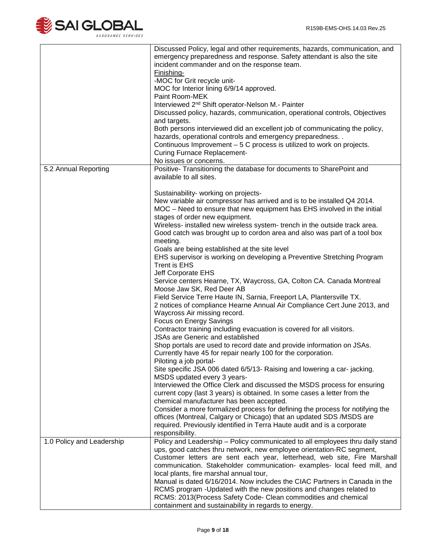

|                           | Discussed Policy, legal and other requirements, hazards, communication, and<br>emergency preparedness and response. Safety attendant is also the site<br>incident commander and on the response team.<br>Finishing-<br>-MOC for Grit recycle unit-<br>MOC for Interior lining 6/9/14 approved.<br>Paint Room-MEK<br>Interviewed 2 <sup>nd</sup> Shift operator-Nelson M.- Painter<br>Discussed policy, hazards, communication, operational controls, Objectives<br>and targets.<br>Both persons interviewed did an excellent job of communicating the policy,<br>hazards, operational controls and emergency preparedness<br>Continuous Improvement – 5 C process is utilized to work on projects. |
|---------------------------|----------------------------------------------------------------------------------------------------------------------------------------------------------------------------------------------------------------------------------------------------------------------------------------------------------------------------------------------------------------------------------------------------------------------------------------------------------------------------------------------------------------------------------------------------------------------------------------------------------------------------------------------------------------------------------------------------|
|                           | <b>Curing Furnace Replacement-</b>                                                                                                                                                                                                                                                                                                                                                                                                                                                                                                                                                                                                                                                                 |
|                           | No issues or concerns.                                                                                                                                                                                                                                                                                                                                                                                                                                                                                                                                                                                                                                                                             |
| 5.2 Annual Reporting      | Positive- Transitioning the database for documents to SharePoint and<br>available to all sites.                                                                                                                                                                                                                                                                                                                                                                                                                                                                                                                                                                                                    |
|                           |                                                                                                                                                                                                                                                                                                                                                                                                                                                                                                                                                                                                                                                                                                    |
|                           | Sustainability- working on projects-                                                                                                                                                                                                                                                                                                                                                                                                                                                                                                                                                                                                                                                               |
|                           | New variable air compressor has arrived and is to be installed Q4 2014.<br>MOC – Need to ensure that new equipment has EHS involved in the initial                                                                                                                                                                                                                                                                                                                                                                                                                                                                                                                                                 |
|                           | stages of order new equipment.                                                                                                                                                                                                                                                                                                                                                                                                                                                                                                                                                                                                                                                                     |
|                           | Wireless- installed new wireless system- trench in the outside track area.                                                                                                                                                                                                                                                                                                                                                                                                                                                                                                                                                                                                                         |
|                           | Good catch was brought up to cordon area and also was part of a tool box                                                                                                                                                                                                                                                                                                                                                                                                                                                                                                                                                                                                                           |
|                           | meeting.                                                                                                                                                                                                                                                                                                                                                                                                                                                                                                                                                                                                                                                                                           |
|                           | Goals are being established at the site level                                                                                                                                                                                                                                                                                                                                                                                                                                                                                                                                                                                                                                                      |
|                           | EHS supervisor is working on developing a Preventive Stretching Program<br>Trent is EHS                                                                                                                                                                                                                                                                                                                                                                                                                                                                                                                                                                                                            |
|                           | Jeff Corporate EHS                                                                                                                                                                                                                                                                                                                                                                                                                                                                                                                                                                                                                                                                                 |
|                           | Service centers Hearne, TX, Waycross, GA, Colton CA. Canada Montreal<br>Moose Jaw SK, Red Deer AB                                                                                                                                                                                                                                                                                                                                                                                                                                                                                                                                                                                                  |
|                           | Field Service Terre Haute IN, Sarnia, Freeport LA, Plantersville TX.                                                                                                                                                                                                                                                                                                                                                                                                                                                                                                                                                                                                                               |
|                           | 2 notices of compliance Hearne Annual Air Compliance Cert June 2013, and<br>Waycross Air missing record.                                                                                                                                                                                                                                                                                                                                                                                                                                                                                                                                                                                           |
|                           | Focus on Energy Savings                                                                                                                                                                                                                                                                                                                                                                                                                                                                                                                                                                                                                                                                            |
|                           | Contractor training including evacuation is covered for all visitors.<br>JSAs are Generic and established                                                                                                                                                                                                                                                                                                                                                                                                                                                                                                                                                                                          |
|                           | Shop portals are used to record date and provide information on JSAs.                                                                                                                                                                                                                                                                                                                                                                                                                                                                                                                                                                                                                              |
|                           | Currently have 45 for repair nearly 100 for the corporation.<br>Piloting a job portal-                                                                                                                                                                                                                                                                                                                                                                                                                                                                                                                                                                                                             |
|                           | Site specific JSA 006 dated 6/5/13- Raising and lowering a car-jacking.                                                                                                                                                                                                                                                                                                                                                                                                                                                                                                                                                                                                                            |
|                           | MSDS updated every 3 years-                                                                                                                                                                                                                                                                                                                                                                                                                                                                                                                                                                                                                                                                        |
|                           | Interviewed the Office Clerk and discussed the MSDS process for ensuring                                                                                                                                                                                                                                                                                                                                                                                                                                                                                                                                                                                                                           |
|                           | current copy (last 3 years) is obtained. In some cases a letter from the                                                                                                                                                                                                                                                                                                                                                                                                                                                                                                                                                                                                                           |
|                           | chemical manufacturer has been accepted.                                                                                                                                                                                                                                                                                                                                                                                                                                                                                                                                                                                                                                                           |
|                           | Consider a more formalized process for defining the process for notifying the                                                                                                                                                                                                                                                                                                                                                                                                                                                                                                                                                                                                                      |
|                           | offices (Montreal, Calgary or Chicago) that an updated SDS / MSDS are                                                                                                                                                                                                                                                                                                                                                                                                                                                                                                                                                                                                                              |
|                           | required. Previously identified in Terra Haute audit and is a corporate                                                                                                                                                                                                                                                                                                                                                                                                                                                                                                                                                                                                                            |
|                           | responsibility.                                                                                                                                                                                                                                                                                                                                                                                                                                                                                                                                                                                                                                                                                    |
| 1.0 Policy and Leadership | Policy and Leadership - Policy communicated to all employees thru daily stand                                                                                                                                                                                                                                                                                                                                                                                                                                                                                                                                                                                                                      |
|                           | ups, good catches thru network, new employee orientation-RC segment,                                                                                                                                                                                                                                                                                                                                                                                                                                                                                                                                                                                                                               |
|                           | Customer letters are sent each year, letterhead, web site, Fire Marshall                                                                                                                                                                                                                                                                                                                                                                                                                                                                                                                                                                                                                           |
|                           | communication. Stakeholder communication- examples- local feed mill, and                                                                                                                                                                                                                                                                                                                                                                                                                                                                                                                                                                                                                           |
|                           | local plants, fire marshal annual tour,                                                                                                                                                                                                                                                                                                                                                                                                                                                                                                                                                                                                                                                            |
|                           | Manual is dated 6/16/2014. Now includes the CIAC Partners in Canada in the                                                                                                                                                                                                                                                                                                                                                                                                                                                                                                                                                                                                                         |
|                           | RCMS program - Updated with the new positions and changes related to                                                                                                                                                                                                                                                                                                                                                                                                                                                                                                                                                                                                                               |
|                           | RCMS: 2013(Process Safety Code- Clean commodities and chemical                                                                                                                                                                                                                                                                                                                                                                                                                                                                                                                                                                                                                                     |
|                           | containment and sustainability in regards to energy.                                                                                                                                                                                                                                                                                                                                                                                                                                                                                                                                                                                                                                               |
|                           |                                                                                                                                                                                                                                                                                                                                                                                                                                                                                                                                                                                                                                                                                                    |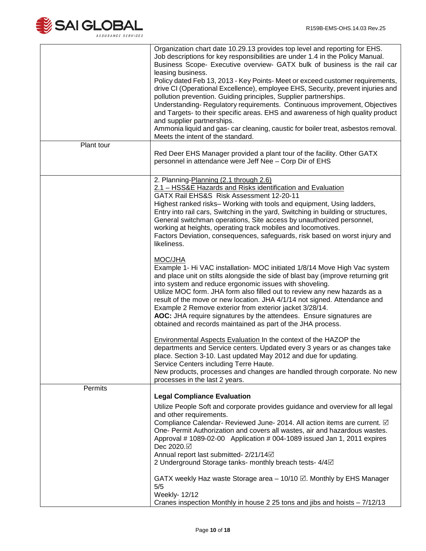

|            | Organization chart date 10.29.13 provides top level and reporting for EHS.<br>Job descriptions for key responsibilities are under 1.4 in the Policy Manual.<br>Business Scope- Executive overview- GATX bulk of business is the rail car<br>leasing business.<br>Policy dated Feb 13, 2013 - Key Points- Meet or exceed customer requirements,<br>drive CI (Operational Excellence), employee EHS, Security, prevent injuries and<br>pollution prevention. Guiding principles, Supplier partnerships.<br>Understanding-Regulatory requirements. Continuous improvement, Objectives<br>and Targets- to their specific areas. EHS and awareness of high quality product<br>and supplier partnerships.<br>Ammonia liquid and gas- car cleaning, caustic for boiler treat, asbestos removal.<br>Meets the intent of the standard. |
|------------|-------------------------------------------------------------------------------------------------------------------------------------------------------------------------------------------------------------------------------------------------------------------------------------------------------------------------------------------------------------------------------------------------------------------------------------------------------------------------------------------------------------------------------------------------------------------------------------------------------------------------------------------------------------------------------------------------------------------------------------------------------------------------------------------------------------------------------|
| Plant tour | Red Deer EHS Manager provided a plant tour of the facility. Other GATX<br>personnel in attendance were Jeff Nee - Corp Dir of EHS                                                                                                                                                                                                                                                                                                                                                                                                                                                                                                                                                                                                                                                                                             |
|            | 2. Planning-Planning (2.1 through 2.6)<br>2.1 - HSS&E Hazards and Risks identification and Evaluation<br>GATX Rail EHS&S Risk Assessment 12-20-11<br>Highest ranked risks-Working with tools and equipment, Using ladders,<br>Entry into rail cars, Switching in the yard, Switching in building or structures,<br>General switchman operations, Site access by unauthorized personnel,<br>working at heights, operating track mobiles and locomotives.<br>Factors Deviation, consequences, safeguards, risk based on worst injury and<br>likeliness.                                                                                                                                                                                                                                                                         |
|            | MOC/JHA<br>Example 1- Hi VAC installation- MOC initiated 1/8/14 Move High Vac system<br>and place unit on stilts alongside the side of blast bay (improve returning grit<br>into system and reduce ergonomic issues with shoveling.<br>Utilize MOC form. JHA form also filled out to review any new hazards as a<br>result of the move or new location. JHA 4/1/14 not signed. Attendance and<br>Example 2 Remove exterior from exterior jacket 3/28/14.<br>AOC: JHA require signatures by the attendees. Ensure signatures are<br>obtained and records maintained as part of the JHA process.                                                                                                                                                                                                                                |
|            | <b>Environmental Aspects Evaluation In the context of the HAZOP the</b><br>departments and Service centers. Updated every 3 years or as changes take<br>place. Section 3-10. Last updated May 2012 and due for updating.<br>Service Centers including Terre Haute.<br>New products, processes and changes are handled through corporate. No new<br>processes in the last 2 years.                                                                                                                                                                                                                                                                                                                                                                                                                                             |
| Permits    |                                                                                                                                                                                                                                                                                                                                                                                                                                                                                                                                                                                                                                                                                                                                                                                                                               |
|            | <b>Legal Compliance Evaluation</b><br>Utilize People Soft and corporate provides guidance and overview for all legal<br>and other requirements.<br>Compliance Calendar- Reviewed June- 2014. All action items are current. Ø<br>One- Permit Authorization and covers all wastes, air and hazardous wastes.<br>Approval # 1089-02-00 Application # 004-1089 issued Jan 1, 2011 expires<br>Dec 2020.⊠<br>Annual report last submitted- 2/21/14⊡<br>2 Underground Storage tanks- monthly breach tests- 4/4 <sup><math>\Box</math></sup>                                                                                                                                                                                                                                                                                          |
|            | GATX weekly Haz waste Storage area $-10/10$ $\boxtimes$ . Monthly by EHS Manager<br>5/5<br>Weekly- 12/12<br>Cranes inspection Monthly in house 2 25 tons and jibs and hoists - 7/12/13                                                                                                                                                                                                                                                                                                                                                                                                                                                                                                                                                                                                                                        |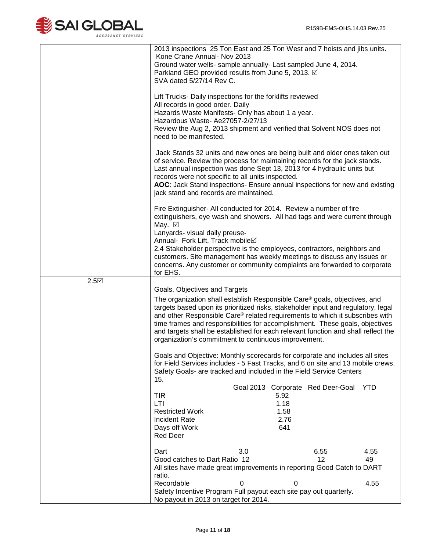

|      | Kone Crane Annual- Nov 2013                                                                   | 2013 inspections 25 Ton East and 25 Ton West and 7 hoists and jibs units.                                                                                                  |      |
|------|-----------------------------------------------------------------------------------------------|----------------------------------------------------------------------------------------------------------------------------------------------------------------------------|------|
|      |                                                                                               | Ground water wells- sample annually- Last sampled June 4, 2014.                                                                                                            |      |
|      | Parkland GEO provided results from June 5, 2013. Ø                                            |                                                                                                                                                                            |      |
|      | SVA dated 5/27/14 Rev C.                                                                      |                                                                                                                                                                            |      |
|      |                                                                                               |                                                                                                                                                                            |      |
|      | Lift Trucks- Daily inspections for the forklifts reviewed<br>All records in good order. Daily |                                                                                                                                                                            |      |
|      | Hazards Waste Manifests- Only has about 1 a year.                                             |                                                                                                                                                                            |      |
|      | Hazardous Waste- Ae27057-2/27/13                                                              |                                                                                                                                                                            |      |
|      |                                                                                               | Review the Aug 2, 2013 shipment and verified that Solvent NOS does not                                                                                                     |      |
|      | need to be manifested.                                                                        |                                                                                                                                                                            |      |
|      |                                                                                               | Jack Stands 32 units and new ones are being built and older ones taken out                                                                                                 |      |
|      |                                                                                               | of service. Review the process for maintaining records for the jack stands.                                                                                                |      |
|      | records were not specific to all units inspected.                                             | Last annual inspection was done Sept 13, 2013 for 4 hydraulic units but                                                                                                    |      |
|      |                                                                                               | AOC: Jack Stand inspections- Ensure annual inspections for new and existing                                                                                                |      |
|      | jack stand and records are maintained.                                                        |                                                                                                                                                                            |      |
|      |                                                                                               |                                                                                                                                                                            |      |
|      |                                                                                               | Fire Extinguisher- All conducted for 2014. Review a number of fire<br>extinguishers, eye wash and showers. All had tags and were current through                           |      |
|      | May. ☑                                                                                        |                                                                                                                                                                            |      |
|      | Lanyards- visual daily preuse-                                                                |                                                                                                                                                                            |      |
|      | Annual- Fork Lift, Track mobile⊠                                                              |                                                                                                                                                                            |      |
|      |                                                                                               | 2.4 Stakeholder perspective is the employees, contractors, neighbors and                                                                                                   |      |
|      |                                                                                               | customers. Site management has weekly meetings to discuss any issues or<br>concerns. Any customer or community complaints are forwarded to corporate                       |      |
|      | for EHS.                                                                                      |                                                                                                                                                                            |      |
| 2.5⊠ |                                                                                               |                                                                                                                                                                            |      |
|      | Goals, Objectives and Targets                                                                 |                                                                                                                                                                            |      |
|      |                                                                                               | The organization shall establish Responsible Care <sup>®</sup> goals, objectives, and<br>targets based upon its prioritized risks, stakeholder input and regulatory, legal |      |
|      |                                                                                               | and other Responsible Care® related requirements to which it subscribes with                                                                                               |      |
|      |                                                                                               | time frames and responsibilities for accomplishment. These goals, objectives                                                                                               |      |
|      |                                                                                               | and targets shall be established for each relevant function and shall reflect the                                                                                          |      |
|      | organization's commitment to continuous improvement.                                          |                                                                                                                                                                            |      |
|      |                                                                                               | Goals and Objective: Monthly scorecards for corporate and includes all sites                                                                                               |      |
|      |                                                                                               | for Field Services includes - 5 Fast Tracks, and 6 on site and 13 mobile crews.                                                                                            |      |
|      | 15.                                                                                           | Safety Goals- are tracked and included in the Field Service Centers                                                                                                        |      |
|      |                                                                                               | Goal 2013 Corporate Red Deer-Goal<br>YTD                                                                                                                                   |      |
|      | <b>TIR</b>                                                                                    | 5.92                                                                                                                                                                       |      |
|      | LTI                                                                                           | 1.18                                                                                                                                                                       |      |
|      | <b>Restricted Work</b><br><b>Incident Rate</b>                                                | 1.58<br>2.76                                                                                                                                                               |      |
|      | Days off Work                                                                                 | 641                                                                                                                                                                        |      |
|      | <b>Red Deer</b>                                                                               |                                                                                                                                                                            |      |
|      |                                                                                               |                                                                                                                                                                            |      |
|      | 3.0<br>Dart<br>Good catches to Dart Ratio 12                                                  | 6.55<br>12<br>49                                                                                                                                                           | 4.55 |
|      |                                                                                               | All sites have made great improvements in reporting Good Catch to DART                                                                                                     |      |
|      | ratio.                                                                                        |                                                                                                                                                                            |      |
|      | Recordable<br>$\mathbf 0$                                                                     | $\Omega$                                                                                                                                                                   | 4.55 |
|      |                                                                                               | Safety Incentive Program Full payout each site pay out quarterly.                                                                                                          |      |
|      | No payout in 2013 on target for 2014.                                                         |                                                                                                                                                                            |      |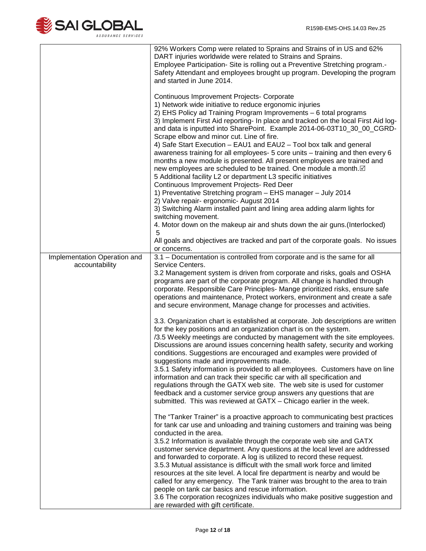

| Implementation Operation and<br>accountability | 92% Workers Comp were related to Sprains and Strains of in US and 62%<br>DART injuries worldwide were related to Strains and Sprains.<br>Employee Participation- Site is rolling out a Preventive Stretching program.-<br>Safety Attendant and employees brought up program. Developing the program<br>and started in June 2014.<br>Continuous Improvement Projects- Corporate<br>1) Network wide initiative to reduce ergonomic injuries<br>2) EHS Policy ad Training Program Improvements - 6 total programs<br>3) Implement First Aid reporting- In place and tracked on the local First Aid log-<br>and data is inputted into SharePoint. Example 2014-06-03T10_30_00_CGRD-<br>Scrape elbow and minor cut. Line of fire.<br>4) Safe Start Execution - EAU1 and EAU2 - Tool box talk and general<br>awareness training for all employees- 5 core units - training and then every 6<br>months a new module is presented. All present employees are trained and<br>new employees are scheduled to be trained. One module a month.⊠<br>5 Additional facility L2 or department L3 specific initiatives<br>Continuous Improvement Projects- Red Deer<br>1) Preventative Stretching program - EHS manager - July 2014<br>2) Valve repair- ergonomic- August 2014<br>3) Switching Alarm installed paint and lining area adding alarm lights for<br>switching movement.<br>4. Motor down on the makeup air and shuts down the air guns. (Interlocked)<br>5<br>All goals and objectives are tracked and part of the corporate goals. No issues<br>or concerns.<br>3.1 - Documentation is controlled from corporate and is the same for all<br>Service Centers.<br>3.2 Management system is driven from corporate and risks, goals and OSHA<br>programs are part of the corporate program. All change is handled through                                                                                                      |
|------------------------------------------------|------------------------------------------------------------------------------------------------------------------------------------------------------------------------------------------------------------------------------------------------------------------------------------------------------------------------------------------------------------------------------------------------------------------------------------------------------------------------------------------------------------------------------------------------------------------------------------------------------------------------------------------------------------------------------------------------------------------------------------------------------------------------------------------------------------------------------------------------------------------------------------------------------------------------------------------------------------------------------------------------------------------------------------------------------------------------------------------------------------------------------------------------------------------------------------------------------------------------------------------------------------------------------------------------------------------------------------------------------------------------------------------------------------------------------------------------------------------------------------------------------------------------------------------------------------------------------------------------------------------------------------------------------------------------------------------------------------------------------------------------------------------------------------------------------------------------------------------------------------------------------------------------------------------------|
|                                                | corporate. Responsible Care Principles- Mange prioritized risks, ensure safe<br>operations and maintenance, Protect workers, environment and create a safe<br>and secure environment, Manage change for processes and activities.<br>3.3. Organization chart is established at corporate. Job descriptions are written<br>for the key positions and an organization chart is on the system.<br>/3.5 Weekly meetings are conducted by management with the site employees.<br>Discussions are around issues concerning health safety, security and working<br>conditions. Suggestions are encouraged and examples were provided of<br>suggestions made and improvements made.<br>3.5.1 Safety information is provided to all employees. Customers have on line<br>information and can track their specific car with all specification and<br>regulations through the GATX web site. The web site is used for customer<br>feedback and a customer service group answers any questions that are<br>submitted. This was reviewed at GATX - Chicago earlier in the week.<br>The "Tanker Trainer" is a proactive approach to communicating best practices<br>for tank car use and unloading and training customers and training was being<br>conducted in the area.<br>3.5.2 Information is available through the corporate web site and GATX<br>customer service department. Any questions at the local level are addressed<br>and forwarded to corporate. A log is utilized to record these request.<br>3.5.3 Mutual assistance is difficult with the small work force and limited<br>resources at the site level. A local fire department is nearby and would be<br>called for any emergency. The Tank trainer was brought to the area to train<br>people on tank car basics and rescue information.<br>3.6 The corporation recognizes individuals who make positive suggestion and<br>are rewarded with gift certificate. |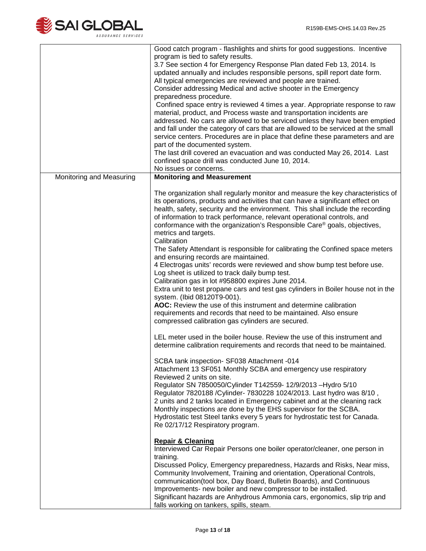

|                          | Good catch program - flashlights and shirts for good suggestions. Incentive<br>program is tied to safety results.<br>3.7 See section 4 for Emergency Response Plan dated Feb 13, 2014. Is<br>updated annually and includes responsible persons, spill report date form.<br>All typical emergencies are reviewed and people are trained.<br>Consider addressing Medical and active shooter in the Emergency<br>preparedness procedure.<br>Confined space entry is reviewed 4 times a year. Appropriate response to raw<br>material, product, and Process waste and transportation incidents are<br>addressed. No cars are allowed to be serviced unless they have been emptied<br>and fall under the category of cars that are allowed to be serviced at the small<br>service centers. Procedures are in place that define these parameters and are<br>part of the documented system.<br>The last drill covered an evacuation and was conducted May 26, 2014. Last<br>confined space drill was conducted June 10, 2014.<br>No issues or concerns.                               |
|--------------------------|--------------------------------------------------------------------------------------------------------------------------------------------------------------------------------------------------------------------------------------------------------------------------------------------------------------------------------------------------------------------------------------------------------------------------------------------------------------------------------------------------------------------------------------------------------------------------------------------------------------------------------------------------------------------------------------------------------------------------------------------------------------------------------------------------------------------------------------------------------------------------------------------------------------------------------------------------------------------------------------------------------------------------------------------------------------------------------|
| Monitoring and Measuring | <b>Monitoring and Measurement</b>                                                                                                                                                                                                                                                                                                                                                                                                                                                                                                                                                                                                                                                                                                                                                                                                                                                                                                                                                                                                                                              |
|                          | The organization shall regularly monitor and measure the key characteristics of<br>its operations, products and activities that can have a significant effect on<br>health, safety, security and the environment. This shall include the recording<br>of information to track performance, relevant operational controls, and<br>conformance with the organization's Responsible Care® goals, objectives,<br>metrics and targets.<br>Calibration<br>The Safety Attendant is responsible for calibrating the Confined space meters<br>and ensuring records are maintained.<br>4 Electrogas units' records were reviewed and show bump test before use.<br>Log sheet is utilized to track daily bump test.<br>Calibration gas in lot #958800 expires June 2014.<br>Extra unit to test propane cars and test gas cylinders in Boiler house not in the<br>system. (Ibid 08120T9-001).<br>AOC: Review the use of this instrument and determine calibration<br>requirements and records that need to be maintained. Also ensure<br>compressed calibration gas cylinders are secured. |
|                          | LEL meter used in the boiler house. Review the use of this instrument and<br>determine calibration requirements and records that need to be maintained.<br>SCBA tank inspection- SF038 Attachment -014<br>Attachment 13 SF051 Monthly SCBA and emergency use respiratory<br>Reviewed 2 units on site.<br>Regulator SN 7850050/Cylinder T142559- 12/9/2013 - Hydro 5/10<br>Regulator 7820188 / Cylinder- 7830228 1024/2013. Last hydro was 8/10,<br>2 units and 2 tanks located in Emergency cabinet and at the cleaning rack<br>Monthly inspections are done by the EHS supervisor for the SCBA.<br>Hydrostatic test Steel tanks every 5 years for hydrostatic test for Canada.<br>Re 02/17/12 Respiratory program.                                                                                                                                                                                                                                                                                                                                                            |
|                          | <b>Repair &amp; Cleaning</b><br>Interviewed Car Repair Persons one boiler operator/cleaner, one person in<br>training.<br>Discussed Policy, Emergency preparedness, Hazards and Risks, Near miss,<br>Community Involvement, Training and orientation, Operational Controls,<br>communication(tool box, Day Board, Bulletin Boards), and Continuous<br>Improvements- new boiler and new compressor to be installed.<br>Significant hazards are Anhydrous Ammonia cars, ergonomics, slip trip and<br>falls working on tankers, spills, steam.                                                                                                                                                                                                                                                                                                                                                                                                                                                                                                                                    |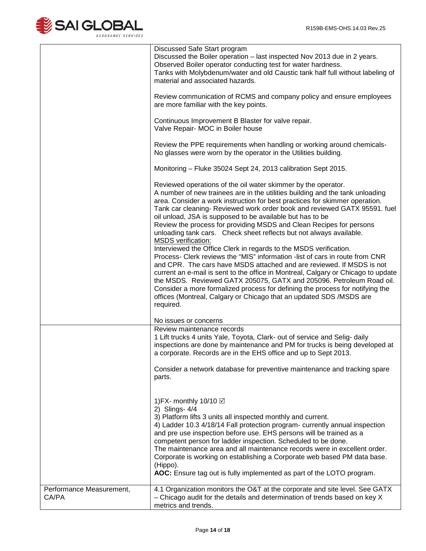

|                                   | Discussed Safe Start program<br>Discussed the Boiler operation - last inspected Nov 2013 due in 2 years.<br>Observed Boiler operator conducting test for water hardness.<br>Tanks with Molybdenum/water and old Caustic tank half full without labeling of<br>material and associated hazards.                                                                                                                                                                                                                                                                                                                                                                                                                                                                                                                                                                                                                                                                                                                                                                                                                     |
|-----------------------------------|--------------------------------------------------------------------------------------------------------------------------------------------------------------------------------------------------------------------------------------------------------------------------------------------------------------------------------------------------------------------------------------------------------------------------------------------------------------------------------------------------------------------------------------------------------------------------------------------------------------------------------------------------------------------------------------------------------------------------------------------------------------------------------------------------------------------------------------------------------------------------------------------------------------------------------------------------------------------------------------------------------------------------------------------------------------------------------------------------------------------|
|                                   | Review communication of RCMS and company policy and ensure employees<br>are more familiar with the key points.                                                                                                                                                                                                                                                                                                                                                                                                                                                                                                                                                                                                                                                                                                                                                                                                                                                                                                                                                                                                     |
|                                   | Continuous Improvement B Blaster for valve repair.<br>Valve Repair- MOC in Boiler house                                                                                                                                                                                                                                                                                                                                                                                                                                                                                                                                                                                                                                                                                                                                                                                                                                                                                                                                                                                                                            |
|                                   | Review the PPE requirements when handling or working around chemicals-<br>No glasses were worn by the operator in the Utilities building.                                                                                                                                                                                                                                                                                                                                                                                                                                                                                                                                                                                                                                                                                                                                                                                                                                                                                                                                                                          |
|                                   | Monitoring - Fluke 35024 Sept 24, 2013 calibration Sept 2015.                                                                                                                                                                                                                                                                                                                                                                                                                                                                                                                                                                                                                                                                                                                                                                                                                                                                                                                                                                                                                                                      |
|                                   | Reviewed operations of the oil water skimmer by the operator.<br>A number of new trainees are in the utilities building and the tank unloading<br>area. Consider a work instruction for best practices for skimmer operation.<br>Tank car cleaning- Reviewed work order book and reviewed GATX 95591. fuel<br>oil unload, JSA is supposed to be available but has to be<br>Review the process for providing MSDS and Clean Recipes for persons<br>unloading tank cars. Check sheet reflects but not always available.<br><b>MSDS</b> verification:<br>Interviewed the Office Clerk in regards to the MSDS verification.<br>Process- Clerk reviews the "MIS" information -list of cars in route from CNR<br>and CPR. The cars have MSDS attached and are reviewed. If MSDS is not<br>current an e-mail is sent to the office in Montreal, Calgary or Chicago to update<br>the MSDS. Reviewed GATX 205075, GATX and 205096. Petroleum Road oil.<br>Consider a more formalized process for defining the process for notifying the<br>offices (Montreal, Calgary or Chicago that an updated SDS /MSDS are<br>required. |
|                                   | No issues or concerns                                                                                                                                                                                                                                                                                                                                                                                                                                                                                                                                                                                                                                                                                                                                                                                                                                                                                                                                                                                                                                                                                              |
|                                   | Review maintenance records<br>1 Lift trucks 4 units Yale, Toyota, Clark- out of service and Selig- daily<br>inspections are done by maintenance and PM for trucks is being developed at<br>a corporate. Records are in the EHS office and up to Sept 2013.<br>Consider a network database for preventive maintenance and tracking spare<br>parts.                                                                                                                                                                                                                                                                                                                                                                                                                                                                                                                                                                                                                                                                                                                                                                  |
|                                   | 1) FX- monthly 10/10 $\boxtimes$<br>2) Slings- 4/4<br>3) Platform lifts 3 units all inspected monthly and current.<br>4) Ladder 10.3 4/18/14 Fall protection program- currently annual inspection<br>and pre use inspection before use. EHS persons will be trained as a<br>competent person for ladder inspection. Scheduled to be done.<br>The maintenance area and all maintenance records were in excellent order.<br>Corporate is working on establishing a Corporate web based PM data base.<br>(Hippo).<br>AOC: Ensure tag out is fully implemented as part of the LOTO program.                                                                                                                                                                                                                                                                                                                                                                                                                                                                                                                            |
| Performance Measurement,<br>CA/PA | 4.1 Organization monitors the O&T at the corporate and site level. See GATX<br>- Chicago audit for the details and determination of trends based on key X<br>metrics and trends.                                                                                                                                                                                                                                                                                                                                                                                                                                                                                                                                                                                                                                                                                                                                                                                                                                                                                                                                   |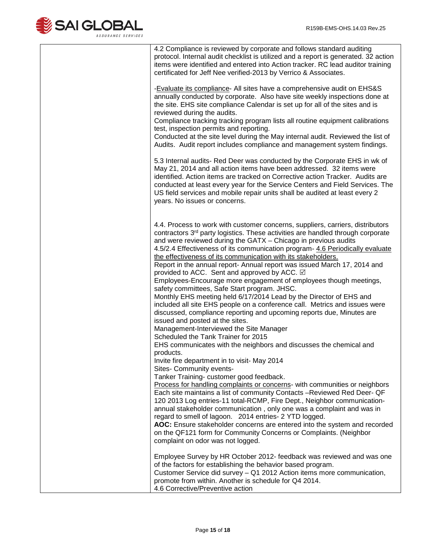

| 4.2 Compliance is reviewed by corporate and follows standard auditing<br>protocol. Internal audit checklist is utilized and a report is generated. 32 action<br>items were identified and entered into Action tracker. RC lead auditor training<br>certificated for Jeff Nee verified-2013 by Verrico & Associates.                                                                                                                                                                                                                                                                                                                                                                                                                                                                                                                                                                                                                                                                                                                                                                                                                                                                                                                                                                                                                                                                                                                                                                                                                                                                    |
|----------------------------------------------------------------------------------------------------------------------------------------------------------------------------------------------------------------------------------------------------------------------------------------------------------------------------------------------------------------------------------------------------------------------------------------------------------------------------------------------------------------------------------------------------------------------------------------------------------------------------------------------------------------------------------------------------------------------------------------------------------------------------------------------------------------------------------------------------------------------------------------------------------------------------------------------------------------------------------------------------------------------------------------------------------------------------------------------------------------------------------------------------------------------------------------------------------------------------------------------------------------------------------------------------------------------------------------------------------------------------------------------------------------------------------------------------------------------------------------------------------------------------------------------------------------------------------------|
| -Evaluate its compliance - All sites have a comprehensive audit on EHS&S<br>annually conducted by corporate. Also have site weekly inspections done at<br>the site. EHS site compliance Calendar is set up for all of the sites and is<br>reviewed during the audits.                                                                                                                                                                                                                                                                                                                                                                                                                                                                                                                                                                                                                                                                                                                                                                                                                                                                                                                                                                                                                                                                                                                                                                                                                                                                                                                  |
| Compliance tracking tracking program lists all routine equipment calibrations<br>test, inspection permits and reporting.<br>Conducted at the site level during the May internal audit. Reviewed the list of<br>Audits. Audit report includes compliance and management system findings.                                                                                                                                                                                                                                                                                                                                                                                                                                                                                                                                                                                                                                                                                                                                                                                                                                                                                                                                                                                                                                                                                                                                                                                                                                                                                                |
| 5.3 Internal audits- Red Deer was conducted by the Corporate EHS in wk of<br>May 21, 2014 and all action items have been addressed. 32 items were<br>identified. Action items are tracked on Corrective action Tracker. Audits are<br>conducted at least every year for the Service Centers and Field Services. The<br>US field services and mobile repair units shall be audited at least every 2<br>years. No issues or concerns.                                                                                                                                                                                                                                                                                                                                                                                                                                                                                                                                                                                                                                                                                                                                                                                                                                                                                                                                                                                                                                                                                                                                                    |
| 4.4. Process to work with customer concerns, suppliers, carriers, distributors<br>contractors 3 <sup>rd</sup> party logistics. These activities are handled through corporate<br>and were reviewed during the GATX - Chicago in previous audits<br>4.5/2.4 Effectiveness of its communication program- 4.6 Periodically evaluate<br>the effectiveness of its communication with its stakeholders.<br>Report in the annual report- Annual report was issued March 17, 2014 and<br>provided to ACC. Sent and approved by ACC. ☑<br>Employees-Encourage more engagement of employees though meetings,<br>safety committees, Safe Start program. JHSC.<br>Monthly EHS meeting held 6/17/2014 Lead by the Director of EHS and<br>included all site EHS people on a conference call. Metrics and issues were<br>discussed, compliance reporting and upcoming reports due, Minutes are<br>issued and posted at the sites.<br>Management-Interviewed the Site Manager<br>Scheduled the Tank Trainer for 2015<br>EHS communicates with the neighbors and discusses the chemical and<br>products.<br>Invite fire department in to visit- May 2014<br>Sites- Community events-<br>Tanker Training- customer good feedback.<br>Process for handling complaints or concerns- with communities or neighbors<br>Each site maintains a list of community Contacts -Reviewed Red Deer- QF<br>120 2013 Log entries-11 total-RCMP, Fire Dept., Neighbor communication-<br>annual stakeholder communication, only one was a complaint and was in<br>regard to smell of lagoon. 2014 entries- 2 YTD logged. |
| AOC: Ensure stakeholder concerns are entered into the system and recorded<br>on the QF121 form for Community Concerns or Complaints. (Neighbor<br>complaint on odor was not logged.                                                                                                                                                                                                                                                                                                                                                                                                                                                                                                                                                                                                                                                                                                                                                                                                                                                                                                                                                                                                                                                                                                                                                                                                                                                                                                                                                                                                    |
| Employee Survey by HR October 2012- feedback was reviewed and was one<br>of the factors for establishing the behavior based program.<br>Customer Service did survey - Q1 2012 Action items more communication,<br>promote from within. Another is schedule for Q4 2014.<br>4.6 Corrective/Preventive action                                                                                                                                                                                                                                                                                                                                                                                                                                                                                                                                                                                                                                                                                                                                                                                                                                                                                                                                                                                                                                                                                                                                                                                                                                                                            |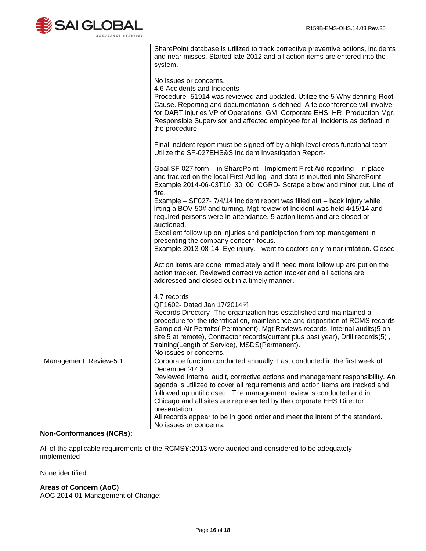

|                       | SharePoint database is utilized to track corrective preventive actions, incidents<br>and near misses. Started late 2012 and all action items are entered into the<br>system.                                                                                                                                                                                                                         |
|-----------------------|------------------------------------------------------------------------------------------------------------------------------------------------------------------------------------------------------------------------------------------------------------------------------------------------------------------------------------------------------------------------------------------------------|
|                       | No issues or concerns.<br>4.6 Accidents and Incidents-<br>Procedure- 51914 was reviewed and updated. Utilize the 5 Why defining Root<br>Cause. Reporting and documentation is defined. A teleconference will involve<br>for DART injuries VP of Operations, GM, Corporate EHS, HR, Production Mgr.<br>Responsible Supervisor and affected employee for all incidents as defined in<br>the procedure. |
|                       | Final incident report must be signed off by a high level cross functional team.<br>Utilize the SF-027EHS&S Incident Investigation Report-                                                                                                                                                                                                                                                            |
|                       | Goal SF 027 form - in SharePoint - Implement First Aid reporting- In place<br>and tracked on the local First Aid log- and data is inputted into SharePoint.<br>Example 2014-06-03T10_30_00_CGRD- Scrape elbow and minor cut. Line of<br>fire.                                                                                                                                                        |
|                       | Example - SF027- 7/4/14 Incident report was filled out - back injury while<br>lifting a BOV 50# and turning. Mgt review of Incident was held 4/15/14 and<br>required persons were in attendance. 5 action items and are closed or<br>auctioned.                                                                                                                                                      |
|                       | Excellent follow up on injuries and participation from top management in<br>presenting the company concern focus.<br>Example 2013-08-14- Eye injury. - went to doctors only minor irritation. Closed                                                                                                                                                                                                 |
|                       | Action items are done immediately and if need more follow up are put on the<br>action tracker. Reviewed corrective action tracker and all actions are<br>addressed and closed out in a timely manner.                                                                                                                                                                                                |
|                       | 4.7 records<br>QF1602- Dated Jan 17/2014⊠                                                                                                                                                                                                                                                                                                                                                            |
|                       | Records Directory- The organization has established and maintained a<br>procedure for the identification, maintenance and disposition of RCMS records,<br>Sampled Air Permits( Permanent), Mgt Reviews records Internal audits(5 on<br>site 5 at remote), Contractor records(current plus past year), Drill records(5),<br>training(Length of Service), MSDS(Permanent).<br>No issues or concerns.   |
| Management Review-5.1 | Corporate function conducted annually. Last conducted in the first week of<br>December 2013                                                                                                                                                                                                                                                                                                          |
|                       | Reviewed Internal audit, corrective actions and management responsibility. An<br>agenda is utilized to cover all requirements and action items are tracked and                                                                                                                                                                                                                                       |
|                       | followed up until closed. The management review is conducted and in<br>Chicago and all sites are represented by the corporate EHS Director<br>presentation.                                                                                                                                                                                                                                          |
|                       | All records appear to be in good order and meet the intent of the standard.<br>No issues or concerns.                                                                                                                                                                                                                                                                                                |

# **Non-Conformances (NCRs):**

All of the applicable requirements of the RCMS®:2013 were audited and considered to be adequately implemented

None identified.

## **Areas of Concern (AoC)**

AOC 2014-01 Management of Change: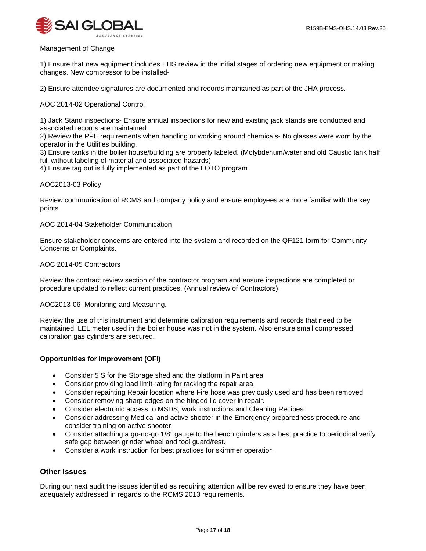

Management of Change

1) Ensure that new equipment includes EHS review in the initial stages of ordering new equipment or making changes. New compressor to be installed-

2) Ensure attendee signatures are documented and records maintained as part of the JHA process.

AOC 2014-02 Operational Control

1) Jack Stand inspections- Ensure annual inspections for new and existing jack stands are conducted and associated records are maintained.

2) Review the PPE requirements when handling or working around chemicals- No glasses were worn by the operator in the Utilities building.

3) Ensure tanks in the boiler house/building are properly labeled. (Molybdenum/water and old Caustic tank half full without labeling of material and associated hazards).

4) Ensure tag out is fully implemented as part of the LOTO program.

#### AOC2013-03 Policy

Review communication of RCMS and company policy and ensure employees are more familiar with the key points.

#### AOC 2014-04 Stakeholder Communication

Ensure stakeholder concerns are entered into the system and recorded on the QF121 form for Community Concerns or Complaints.

#### AOC 2014-05 Contractors

Review the contract review section of the contractor program and ensure inspections are completed or procedure updated to reflect current practices. (Annual review of Contractors).

#### AOC2013-06 Monitoring and Measuring.

Review the use of this instrument and determine calibration requirements and records that need to be maintained. LEL meter used in the boiler house was not in the system. Also ensure small compressed calibration gas cylinders are secured.

## **Opportunities for Improvement (OFI)**

- Consider 5 S for the Storage shed and the platform in Paint area
- Consider providing load limit rating for racking the repair area.
- Consider repainting Repair location where Fire hose was previously used and has been removed.
- Consider removing sharp edges on the hinged lid cover in repair.
- Consider electronic access to MSDS, work instructions and Cleaning Recipes.
- Consider addressing Medical and active shooter in the Emergency preparedness procedure and consider training on active shooter.
- Consider attaching a go-no-go 1/8" gauge to the bench grinders as a best practice to periodical verify safe gap between grinder wheel and tool guard/rest.
- Consider a work instruction for best practices for skimmer operation.

## **Other Issues**

During our next audit the issues identified as requiring attention will be reviewed to ensure they have been adequately addressed in regards to the RCMS 2013 requirements.